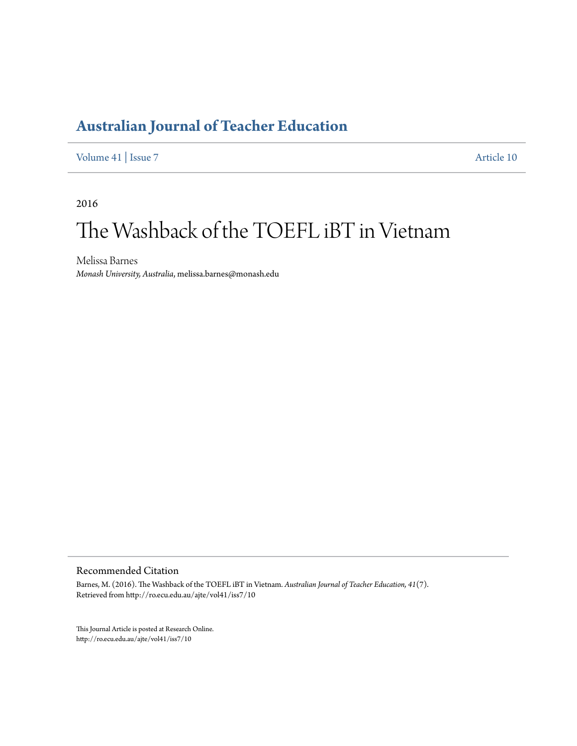[Volume 41](http://ro.ecu.edu.au/ajte/vol41) | [Issue 7](http://ro.ecu.edu.au/ajte/vol41/iss7) [Article 10](http://ro.ecu.edu.au/ajte/vol41/iss7/10)

2016

# The Washback of the TOEFL iBT in Vietnam

Melissa Barnes *Monash University, Australia*, melissa.barnes@monash.edu

Recommended Citation

Barnes, M. (2016). The Washback of the TOEFL iBT in Vietnam. *Australian Journal of Teacher Education, 41*(7). Retrieved from http://ro.ecu.edu.au/ajte/vol41/iss7/10

This Journal Article is posted at Research Online. http://ro.ecu.edu.au/ajte/vol41/iss7/10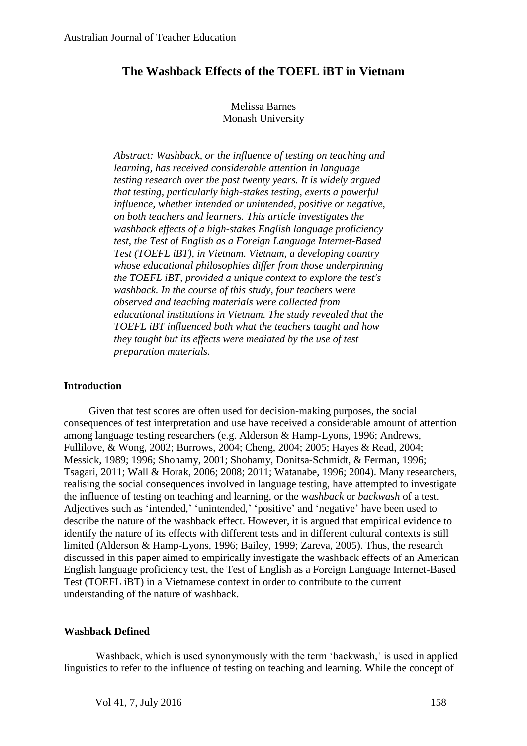## **The Washback Effects of the TOEFL iBT in Vietnam**

### Melissa Barnes Monash University

*Abstract: Washback, or the influence of testing on teaching and learning, has received considerable attention in language testing research over the past twenty years. It is widely argued that testing, particularly high-stakes testing, exerts a powerful influence, whether intended or unintended, positive or negative, on both teachers and learners. This article investigates the washback effects of a high-stakes English language proficiency test, the Test of English as a Foreign Language Internet-Based Test (TOEFL iBT), in Vietnam. Vietnam, a developing country whose educational philosophies differ from those underpinning the TOEFL iBT, provided a unique context to explore the test's washback. In the course of this study, four teachers were observed and teaching materials were collected from educational institutions in Vietnam. The study revealed that the TOEFL iBT influenced both what the teachers taught and how they taught but its effects were mediated by the use of test preparation materials.* 

#### **Introduction**

Given that test scores are often used for decision-making purposes, the social consequences of test interpretation and use have received a considerable amount of attention among language testing researchers (e.g. Alderson & Hamp-Lyons, 1996; Andrews, Fullilove, & Wong, 2002; Burrows, 2004; Cheng, 2004; 2005; Hayes & Read, 2004; Messick, 1989; 1996; Shohamy, 2001; Shohamy, Donitsa-Schmidt, & Ferman, 1996; Tsagari, 2011; Wall & Horak, 2006; 2008; 2011; Watanabe, 1996; 2004). Many researchers, realising the social consequences involved in language testing, have attempted to investigate the influence of testing on teaching and learning, or the w*ashback* or *backwash* of a test. Adjectives such as 'intended,' 'unintended,' 'positive' and 'negative' have been used to describe the nature of the washback effect. However, it is argued that empirical evidence to identify the nature of its effects with different tests and in different cultural contexts is still limited (Alderson & Hamp-Lyons, 1996; Bailey, 1999; Zareva, 2005). Thus, the research discussed in this paper aimed to empirically investigate the washback effects of an American English language proficiency test, the Test of English as a Foreign Language Internet-Based Test (TOEFL iBT) in a Vietnamese context in order to contribute to the current understanding of the nature of washback.

#### **Washback Defined**

Washback, which is used synonymously with the term 'backwash,' is used in applied linguistics to refer to the influence of testing on teaching and learning. While the concept of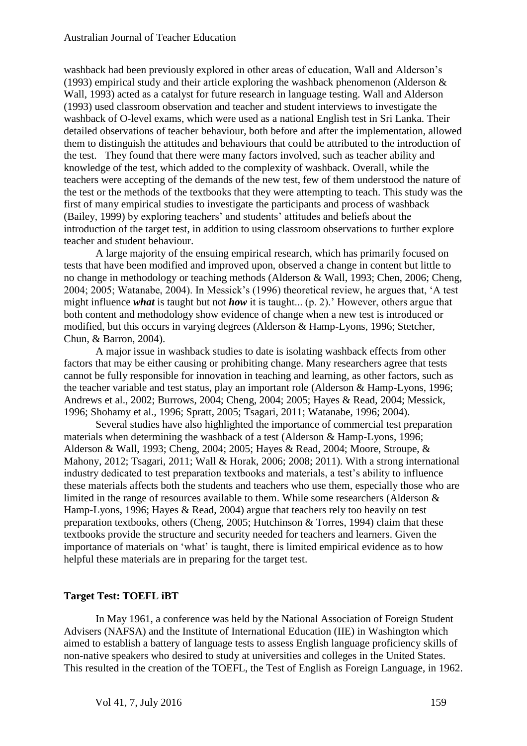washback had been previously explored in other areas of education, Wall and Alderson's (1993) empirical study and their article exploring the washback phenomenon (Alderson  $\&$ Wall, 1993) acted as a catalyst for future research in language testing. Wall and Alderson (1993) used classroom observation and teacher and student interviews to investigate the washback of O-level exams, which were used as a national English test in Sri Lanka. Their detailed observations of teacher behaviour, both before and after the implementation, allowed them to distinguish the attitudes and behaviours that could be attributed to the introduction of the test. They found that there were many factors involved, such as teacher ability and knowledge of the test, which added to the complexity of washback. Overall, while the teachers were accepting of the demands of the new test, few of them understood the nature of the test or the methods of the textbooks that they were attempting to teach. This study was the first of many empirical studies to investigate the participants and process of washback (Bailey, 1999) by exploring teachers' and students' attitudes and beliefs about the introduction of the target test, in addition to using classroom observations to further explore teacher and student behaviour.

A large majority of the ensuing empirical research, which has primarily focused on tests that have been modified and improved upon, observed a change in content but little to no change in methodology or teaching methods (Alderson & Wall, 1993; Chen, 2006; Cheng, 2004; 2005; Watanabe, 2004). In Messick's (1996) theoretical review, he argues that, 'A test might influence *what* is taught but not *how* it is taught... (p. 2).' However, others argue that both content and methodology show evidence of change when a new test is introduced or modified, but this occurs in varying degrees (Alderson & Hamp-Lyons, 1996; Stetcher, Chun, & Barron, 2004).

A major issue in washback studies to date is isolating washback effects from other factors that may be either causing or prohibiting change. Many researchers agree that tests cannot be fully responsible for innovation in teaching and learning, as other factors, such as the teacher variable and test status, play an important role (Alderson & Hamp-Lyons, 1996; Andrews et al., 2002; Burrows, 2004; Cheng, 2004; 2005; Hayes & Read, 2004; Messick, 1996; Shohamy et al., 1996; Spratt, 2005; Tsagari, 2011; Watanabe, 1996; 2004).

Several studies have also highlighted the importance of commercial test preparation materials when determining the washback of a test (Alderson & Hamp-Lyons, 1996; Alderson & Wall, 1993; Cheng, 2004; 2005; Hayes & Read, 2004; Moore, Stroupe, & Mahony, 2012; Tsagari, 2011; Wall & Horak, 2006; 2008; 2011). With a strong international industry dedicated to test preparation textbooks and materials, a test's ability to influence these materials affects both the students and teachers who use them, especially those who are limited in the range of resources available to them. While some researchers (Alderson & Hamp-Lyons, 1996; Hayes & Read, 2004) argue that teachers rely too heavily on test preparation textbooks, others (Cheng, 2005; Hutchinson & Torres, 1994) claim that these textbooks provide the structure and security needed for teachers and learners. Given the importance of materials on 'what' is taught, there is limited empirical evidence as to how helpful these materials are in preparing for the target test.

## **Target Test: TOEFL iBT**

In May 1961, a conference was held by the National Association of Foreign Student Advisers (NAFSA) and the Institute of International Education (IIE) in Washington which aimed to establish a battery of language tests to assess English language proficiency skills of non-native speakers who desired to study at universities and colleges in the United States. This resulted in the creation of the TOEFL, the Test of English as Foreign Language, in 1962.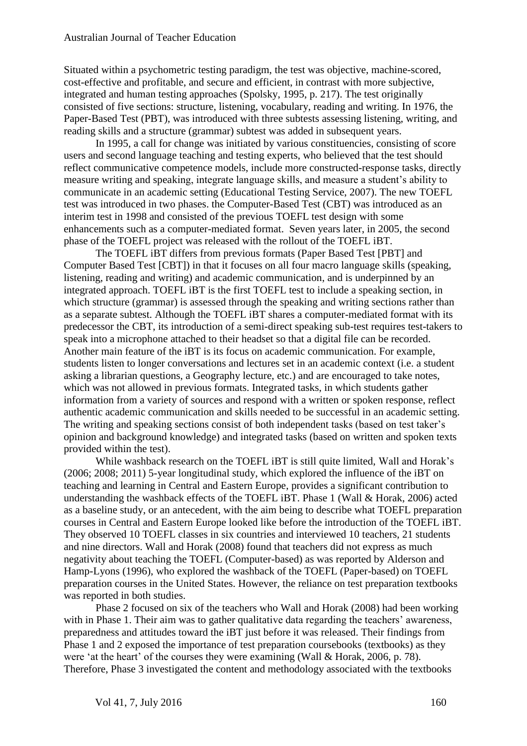Situated within a psychometric testing paradigm, the test was objective, machine-scored, cost-effective and profitable, and secure and efficient, in contrast with more subjective, integrated and human testing approaches (Spolsky, 1995, p. 217). The test originally consisted of five sections: structure, listening, vocabulary, reading and writing. In 1976, the Paper-Based Test (PBT), was introduced with three subtests assessing listening, writing, and reading skills and a structure (grammar) subtest was added in subsequent years.

In 1995, a call for change was initiated by various constituencies, consisting of score users and second language teaching and testing experts, who believed that the test should reflect communicative competence models, include more constructed-response tasks, directly measure writing and speaking, integrate language skills, and measure a student's ability to communicate in an academic setting (Educational Testing Service, 2007). The new TOEFL test was introduced in two phases. the Computer-Based Test (CBT) was introduced as an interim test in 1998 and consisted of the previous TOEFL test design with some enhancements such as a computer-mediated format. Seven years later, in 2005, the second phase of the TOEFL project was released with the rollout of the TOEFL iBT.

The TOEFL iBT differs from previous formats (Paper Based Test [PBT] and Computer Based Test [CBT]) in that it focuses on all four macro language skills (speaking, listening, reading and writing) and academic communication, and is underpinned by an integrated approach. TOEFL iBT is the first TOEFL test to include a speaking section, in which structure (grammar) is assessed through the speaking and writing sections rather than as a separate subtest. Although the TOEFL iBT shares a computer-mediated format with its predecessor the CBT, its introduction of a semi-direct speaking sub-test requires test-takers to speak into a microphone attached to their headset so that a digital file can be recorded. Another main feature of the iBT is its focus on academic communication. For example, students listen to longer conversations and lectures set in an academic context (i.e. a student asking a librarian questions, a Geography lecture, etc.) and are encouraged to take notes, which was not allowed in previous formats. Integrated tasks, in which students gather information from a variety of sources and respond with a written or spoken response, reflect authentic academic communication and skills needed to be successful in an academic setting. The writing and speaking sections consist of both independent tasks (based on test taker's opinion and background knowledge) and integrated tasks (based on written and spoken texts provided within the test).

While washback research on the TOEFL iBT is still quite limited, Wall and Horak's (2006; 2008; 2011) 5-year longitudinal study, which explored the influence of the iBT on teaching and learning in Central and Eastern Europe, provides a significant contribution to understanding the washback effects of the TOEFL iBT. Phase 1 (Wall & Horak, 2006) acted as a baseline study, or an antecedent, with the aim being to describe what TOEFL preparation courses in Central and Eastern Europe looked like before the introduction of the TOEFL iBT. They observed 10 TOEFL classes in six countries and interviewed 10 teachers, 21 students and nine directors. Wall and Horak (2008) found that teachers did not express as much negativity about teaching the TOEFL (Computer-based) as was reported by Alderson and Hamp-Lyons (1996), who explored the washback of the TOEFL (Paper-based) on TOEFL preparation courses in the United States. However, the reliance on test preparation textbooks was reported in both studies.

Phase 2 focused on six of the teachers who Wall and Horak (2008) had been working with in Phase 1. Their aim was to gather qualitative data regarding the teachers' awareness, preparedness and attitudes toward the iBT just before it was released. Their findings from Phase 1 and 2 exposed the importance of test preparation coursebooks (textbooks) as they were 'at the heart' of the courses they were examining (Wall & Horak, 2006, p. 78). Therefore, Phase 3 investigated the content and methodology associated with the textbooks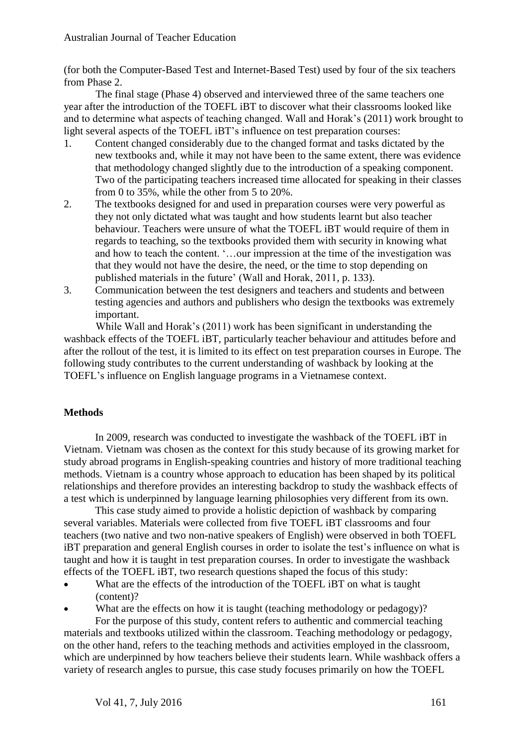(for both the Computer-Based Test and Internet-Based Test) used by four of the six teachers from Phase 2.

The final stage (Phase 4) observed and interviewed three of the same teachers one year after the introduction of the TOEFL iBT to discover what their classrooms looked like and to determine what aspects of teaching changed. Wall and Horak's (2011) work brought to light several aspects of the TOEFL iBT's influence on test preparation courses:

- 1. Content changed considerably due to the changed format and tasks dictated by the new textbooks and, while it may not have been to the same extent, there was evidence that methodology changed slightly due to the introduction of a speaking component. Two of the participating teachers increased time allocated for speaking in their classes from 0 to 35%, while the other from 5 to 20%.
- 2. The textbooks designed for and used in preparation courses were very powerful as they not only dictated what was taught and how students learnt but also teacher behaviour. Teachers were unsure of what the TOEFL iBT would require of them in regards to teaching, so the textbooks provided them with security in knowing what and how to teach the content. '…our impression at the time of the investigation was that they would not have the desire, the need, or the time to stop depending on published materials in the future' (Wall and Horak, 2011, p. 133).
- 3. Communication between the test designers and teachers and students and between testing agencies and authors and publishers who design the textbooks was extremely important.

While Wall and Horak's (2011) work has been significant in understanding the washback effects of the TOEFL iBT, particularly teacher behaviour and attitudes before and after the rollout of the test, it is limited to its effect on test preparation courses in Europe. The following study contributes to the current understanding of washback by looking at the TOEFL's influence on English language programs in a Vietnamese context.

## **Methods**

In 2009, research was conducted to investigate the washback of the TOEFL iBT in Vietnam. Vietnam was chosen as the context for this study because of its growing market for study abroad programs in English-speaking countries and history of more traditional teaching methods. Vietnam is a country whose approach to education has been shaped by its political relationships and therefore provides an interesting backdrop to study the washback effects of a test which is underpinned by language learning philosophies very different from its own.

This case study aimed to provide a holistic depiction of washback by comparing several variables. Materials were collected from five TOEFL iBT classrooms and four teachers (two native and two non-native speakers of English) were observed in both TOEFL iBT preparation and general English courses in order to isolate the test's influence on what is taught and how it is taught in test preparation courses. In order to investigate the washback effects of the TOEFL iBT, two research questions shaped the focus of this study:

- What are the effects of the introduction of the TOEFL iBT on what is taught (content)?
- What are the effects on how it is taught (teaching methodology or pedagogy)?

For the purpose of this study, content refers to authentic and commercial teaching materials and textbooks utilized within the classroom. Teaching methodology or pedagogy, on the other hand, refers to the teaching methods and activities employed in the classroom, which are underpinned by how teachers believe their students learn. While washback offers a variety of research angles to pursue, this case study focuses primarily on how the TOEFL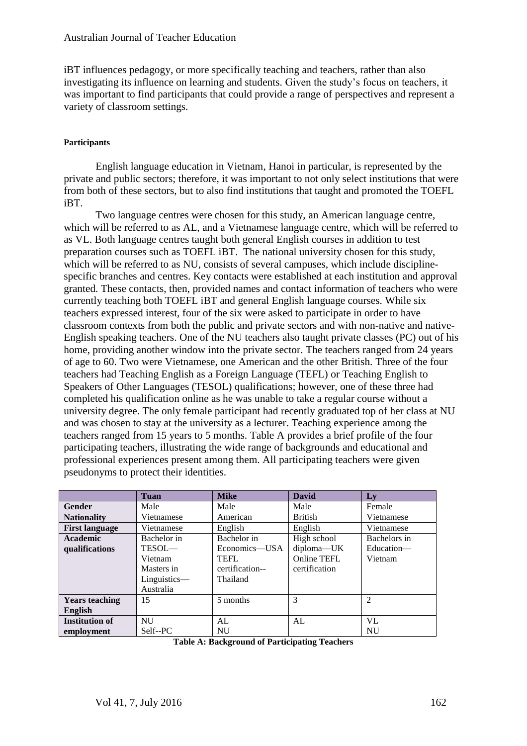iBT influences pedagogy, or more specifically teaching and teachers, rather than also investigating its influence on learning and students. Given the study's focus on teachers, it was important to find participants that could provide a range of perspectives and represent a variety of classroom settings.

## **Participants**

English language education in Vietnam, Hanoi in particular, is represented by the private and public sectors; therefore, it was important to not only select institutions that were from both of these sectors, but to also find institutions that taught and promoted the TOEFL iBT.

Two language centres were chosen for this study, an American language centre, which will be referred to as AL, and a Vietnamese language centre, which will be referred to as VL. Both language centres taught both general English courses in addition to test preparation courses such as TOEFL iBT. The national university chosen for this study, which will be referred to as NU, consists of several campuses, which include disciplinespecific branches and centres. Key contacts were established at each institution and approval granted. These contacts, then, provided names and contact information of teachers who were currently teaching both TOEFL iBT and general English language courses. While six teachers expressed interest, four of the six were asked to participate in order to have classroom contexts from both the public and private sectors and with non-native and native-English speaking teachers. One of the NU teachers also taught private classes (PC) out of his home, providing another window into the private sector. The teachers ranged from 24 years of age to 60. Two were Vietnamese, one American and the other British. Three of the four teachers had Teaching English as a Foreign Language (TEFL) or Teaching English to Speakers of Other Languages (TESOL) qualifications; however, one of these three had completed his qualification online as he was unable to take a regular course without a university degree. The only female participant had recently graduated top of her class at NU and was chosen to stay at the university as a lecturer. Teaching experience among the teachers ranged from 15 years to 5 months. Table A provides a brief profile of the four participating teachers, illustrating the wide range of backgrounds and educational and professional experiences present among them. All participating teachers were given pseudonyms to protect their identities.

|                       | Tuan         | <b>Mike</b>     | <b>David</b>   | Ly             |
|-----------------------|--------------|-----------------|----------------|----------------|
| <b>Gender</b>         | Male         | Male            | Male           | Female         |
| <b>Nationality</b>    | Vietnamese   | American        | <b>British</b> | Vietnamese     |
| <b>First language</b> | Vietnamese   | English         | English        | Vietnamese     |
| Academic              | Bachelor in  | Bachelor in     | High school    | Bachelors in   |
| qualifications        | TESOL—       | Economics—USA   | diploma-UK     | Education-     |
|                       | Vietnam      | <b>TEFL</b>     | Online TEFL    | Vietnam        |
|                       | Masters in   | certification-- | certification  |                |
|                       | Linguistics- | Thailand        |                |                |
|                       | Australia    |                 |                |                |
| <b>Years teaching</b> | 15           | 5 months        | 3              | $\mathfrak{D}$ |
| <b>English</b>        |              |                 |                |                |
| <b>Institution of</b> | <b>NU</b>    | AL              | AL             | VL             |
| employment            | Self--PC     | <b>NU</b>       |                | NU             |

|  |  | <b>Table A: Background of Participating Teachers</b> |  |
|--|--|------------------------------------------------------|--|
|--|--|------------------------------------------------------|--|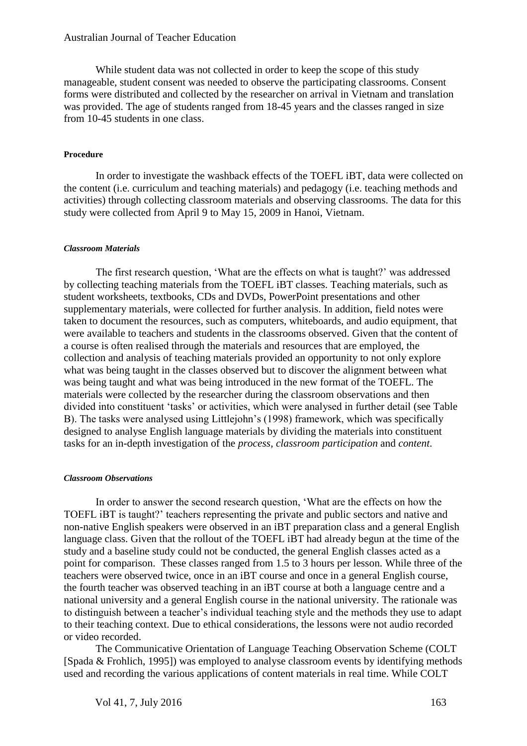While student data was not collected in order to keep the scope of this study manageable, student consent was needed to observe the participating classrooms. Consent forms were distributed and collected by the researcher on arrival in Vietnam and translation was provided. The age of students ranged from 18-45 years and the classes ranged in size from 10-45 students in one class.

#### **Procedure**

In order to investigate the washback effects of the TOEFL iBT, data were collected on the content (i.e. curriculum and teaching materials) and pedagogy (i.e. teaching methods and activities) through collecting classroom materials and observing classrooms. The data for this study were collected from April 9 to May 15, 2009 in Hanoi, Vietnam.

#### *Classroom Materials*

The first research question, 'What are the effects on what is taught?' was addressed by collecting teaching materials from the TOEFL iBT classes. Teaching materials, such as student worksheets, textbooks, CDs and DVDs, PowerPoint presentations and other supplementary materials, were collected for further analysis. In addition, field notes were taken to document the resources, such as computers, whiteboards, and audio equipment, that were available to teachers and students in the classrooms observed. Given that the content of a course is often realised through the materials and resources that are employed, the collection and analysis of teaching materials provided an opportunity to not only explore what was being taught in the classes observed but to discover the alignment between what was being taught and what was being introduced in the new format of the TOEFL. The materials were collected by the researcher during the classroom observations and then divided into constituent 'tasks' or activities, which were analysed in further detail (see Table B). The tasks were analysed using Littlejohn's (1998) framework, which was specifically designed to analyse English language materials by dividing the materials into constituent tasks for an in-depth investigation of the *process*, *classroom participation* and *content*.

#### *Classroom Observations*

In order to answer the second research question, 'What are the effects on how the TOEFL iBT is taught?' teachers representing the private and public sectors and native and non-native English speakers were observed in an iBT preparation class and a general English language class. Given that the rollout of the TOEFL iBT had already begun at the time of the study and a baseline study could not be conducted, the general English classes acted as a point for comparison. These classes ranged from 1.5 to 3 hours per lesson. While three of the teachers were observed twice, once in an iBT course and once in a general English course, the fourth teacher was observed teaching in an iBT course at both a language centre and a national university and a general English course in the national university. The rationale was to distinguish between a teacher's individual teaching style and the methods they use to adapt to their teaching context. Due to ethical considerations, the lessons were not audio recorded or video recorded.

The Communicative Orientation of Language Teaching Observation Scheme (COLT [Spada & Frohlich, 1995]) was employed to analyse classroom events by identifying methods used and recording the various applications of content materials in real time. While COLT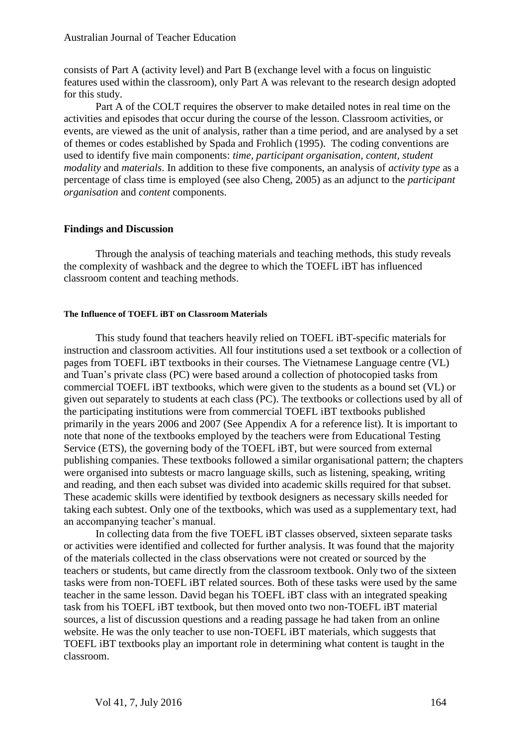consists of Part A (activity level) and Part B (exchange level with a focus on linguistic features used within the classroom), only Part A was relevant to the research design adopted for this study.

Part A of the COLT requires the observer to make detailed notes in real time on the activities and episodes that occur during the course of the lesson. Classroom activities, or events, are viewed as the unit of analysis, rather than a time period, and are analysed by a set of themes or codes established by Spada and Frohlich (1995). The coding conventions are used to identify five main components: *time, participant organisation, content, student modality* and *materials*. In addition to these five components, an analysis of *activity type* as a percentage of class time is employed (see also Cheng, 2005) as an adjunct to the *participant organisation* and *content* components.

#### **Findings and Discussion**

Through the analysis of teaching materials and teaching methods, this study reveals the complexity of washback and the degree to which the TOEFL iBT has influenced classroom content and teaching methods.

#### **The Influence of TOEFL iBT on Classroom Materials**

This study found that teachers heavily relied on TOEFL iBT-specific materials for instruction and classroom activities. All four institutions used a set textbook or a collection of pages from TOEFL iBT textbooks in their courses. The Vietnamese Language centre (VL) and Tuan's private class (PC) were based around a collection of photocopied tasks from commercial TOEFL iBT textbooks, which were given to the students as a bound set (VL) or given out separately to students at each class (PC). The textbooks or collections used by all of the participating institutions were from commercial TOEFL iBT textbooks published primarily in the years 2006 and 2007 (See Appendix A for a reference list). It is important to note that none of the textbooks employed by the teachers were from Educational Testing Service (ETS), the governing body of the TOEFL iBT, but were sourced from external publishing companies. These textbooks followed a similar organisational pattern; the chapters were organised into subtests or macro language skills, such as listening, speaking, writing and reading, and then each subset was divided into academic skills required for that subset. These academic skills were identified by textbook designers as necessary skills needed for taking each subtest. Only one of the textbooks, which was used as a supplementary text, had an accompanying teacher's manual.

In collecting data from the five TOEFL iBT classes observed, sixteen separate tasks or activities were identified and collected for further analysis. It was found that the majority of the materials collected in the class observations were not created or sourced by the teachers or students, but came directly from the classroom textbook. Only two of the sixteen tasks were from non-TOEFL iBT related sources. Both of these tasks were used by the same teacher in the same lesson. David began his TOEFL iBT class with an integrated speaking task from his TOEFL iBT textbook, but then moved onto two non-TOEFL iBT material sources, a list of discussion questions and a reading passage he had taken from an online website. He was the only teacher to use non-TOEFL iBT materials, which suggests that TOEFL iBT textbooks play an important role in determining what content is taught in the classroom.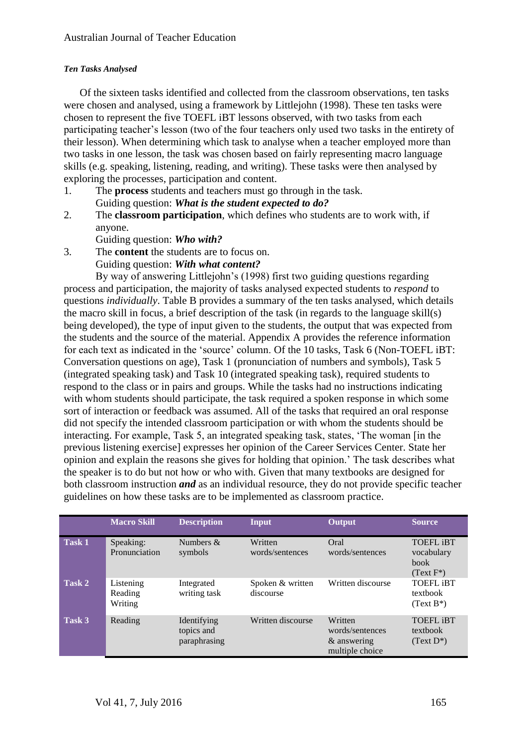## *Ten Tasks Analysed*

Of the sixteen tasks identified and collected from the classroom observations, ten tasks were chosen and analysed, using a framework by Littlejohn (1998). These ten tasks were chosen to represent the five TOEFL iBT lessons observed, with two tasks from each participating teacher's lesson (two of the four teachers only used two tasks in the entirety of their lesson). When determining which task to analyse when a teacher employed more than two tasks in one lesson, the task was chosen based on fairly representing macro language skills (e.g. speaking, listening, reading, and writing). These tasks were then analysed by exploring the processes, participation and content.

- 1. The **process** students and teachers must go through in the task. Guiding question: *What is the student expected to do?*
- 2. The **classroom participation**, which defines who students are to work with, if anyone.

Guiding question: *Who with?*

3. The **content** the students are to focus on.

Guiding question: *With what content?*

By way of answering Littlejohn's (1998) first two guiding questions regarding process and participation, the majority of tasks analysed expected students to *respond* to questions *individually*. Table B provides a summary of the ten tasks analysed, which details the macro skill in focus, a brief description of the task (in regards to the language skill(s) being developed), the type of input given to the students, the output that was expected from the students and the source of the material. Appendix A provides the reference information for each text as indicated in the 'source' column. Of the 10 tasks, Task 6 (Non-TOEFL iBT: Conversation questions on age), Task 1 (pronunciation of numbers and symbols), Task 5 (integrated speaking task) and Task 10 (integrated speaking task), required students to respond to the class or in pairs and groups. While the tasks had no instructions indicating with whom students should participate, the task required a spoken response in which some sort of interaction or feedback was assumed. All of the tasks that required an oral response did not specify the intended classroom participation or with whom the students should be interacting. For example, Task 5, an integrated speaking task, states, 'The woman [in the previous listening exercise] expresses her opinion of the Career Services Center. State her opinion and explain the reasons she gives for holding that opinion.' The task describes what the speaker is to do but not how or who with. Given that many textbooks are designed for both classroom instruction *and* as an individual resource, they do not provide specific teacher guidelines on how these tasks are to be implemented as classroom practice.

|               | <b>Macro Skill</b>              | <b>Description</b>                        | <b>Input</b>                  | Output                                                       | <b>Source</b>                                                 |
|---------------|---------------------------------|-------------------------------------------|-------------------------------|--------------------------------------------------------------|---------------------------------------------------------------|
| <b>Task 1</b> | Speaking:<br>Pronunciation      | Numbers $&$<br>symbols                    | Written<br>words/sentences    | Oral<br>words/sentences                                      | <b>TOEFL IBT</b><br>vocabulary<br><b>book</b><br>$(Text F^*)$ |
| Task 2        | Listening<br>Reading<br>Writing | Integrated<br>writing task                | Spoken & written<br>discourse | Written discourse                                            | <b>TOEFL IBT</b><br>textbook<br>$(Text B*)$                   |
| Task 3        | Reading                         | Identifying<br>topics and<br>paraphrasing | Written discourse             | Written<br>words/sentences<br>& answering<br>multiple choice | <b>TOEFL IBT</b><br>textbook<br>$(Text D*)$                   |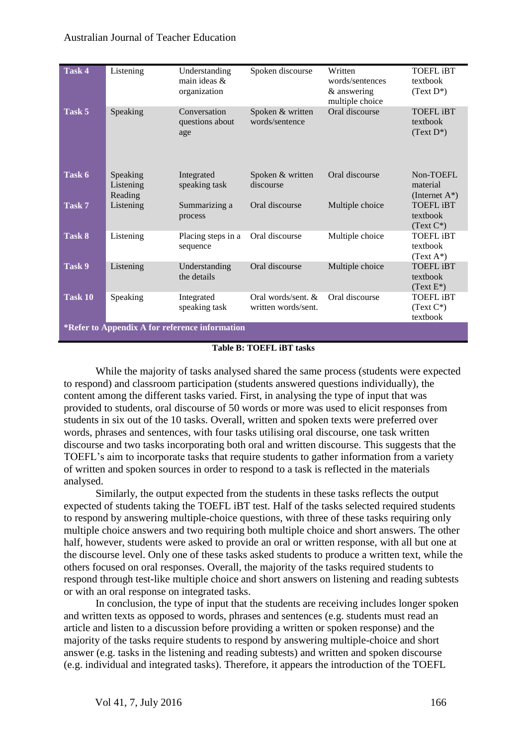| Task 4                                         | Listening                        | Understanding<br>main ideas $\&$<br>organization | Spoken discourse                            | Written<br>words/sentences<br>& answering<br>multiple choice | <b>TOEFL IBT</b><br>textbook<br>$(Text D*)$  |
|------------------------------------------------|----------------------------------|--------------------------------------------------|---------------------------------------------|--------------------------------------------------------------|----------------------------------------------|
| Task 5                                         | Speaking                         | Conversation<br>questions about<br>age           | Spoken & written<br>words/sentence          | Oral discourse                                               | <b>TOEFL IBT</b><br>textbook<br>$(Text D*)$  |
| Task 6                                         | Speaking<br>Listening<br>Reading | Integrated<br>speaking task                      | Spoken & written<br>discourse               | Oral discourse                                               | Non-TOEFL<br>material<br>(Internet $A^*$ )   |
| Task 7                                         | Listening                        | Summarizing a<br>process                         | Oral discourse                              | Multiple choice                                              | <b>TOEFL IBT</b><br>textbook<br>$(Text C^*)$ |
| Task 8                                         | Listening                        | Placing steps in a<br>sequence                   | Oral discourse                              | Multiple choice                                              | <b>TOEFL IBT</b><br>textbook<br>$(Text A^*)$ |
| Task 9                                         | Listening                        | Understanding<br>the details                     | Oral discourse                              | Multiple choice                                              | <b>TOEFL IBT</b><br>textbook<br>$(Text E^*)$ |
| Task 10                                        | Speaking                         | Integrated<br>speaking task                      | Oral words/sent. $&$<br>written words/sent. | Oral discourse                                               | <b>TOEFL IBT</b><br>$(Text C*)$<br>textbook  |
| *Refer to Appendix A for reference information |                                  |                                                  |                                             |                                                              |                                              |

#### **Table B: TOEFL iBT tasks**

While the majority of tasks analysed shared the same process (students were expected to respond) and classroom participation (students answered questions individually), the content among the different tasks varied. First, in analysing the type of input that was provided to students, oral discourse of 50 words or more was used to elicit responses from students in six out of the 10 tasks. Overall, written and spoken texts were preferred over words, phrases and sentences, with four tasks utilising oral discourse, one task written discourse and two tasks incorporating both oral and written discourse. This suggests that the TOEFL's aim to incorporate tasks that require students to gather information from a variety of written and spoken sources in order to respond to a task is reflected in the materials analysed.

Similarly, the output expected from the students in these tasks reflects the output expected of students taking the TOEFL iBT test. Half of the tasks selected required students to respond by answering multiple-choice questions, with three of these tasks requiring only multiple choice answers and two requiring both multiple choice and short answers. The other half, however, students were asked to provide an oral or written response, with all but one at the discourse level. Only one of these tasks asked students to produce a written text, while the others focused on oral responses. Overall, the majority of the tasks required students to respond through test-like multiple choice and short answers on listening and reading subtests or with an oral response on integrated tasks.

In conclusion, the type of input that the students are receiving includes longer spoken and written texts as opposed to words, phrases and sentences (e.g. students must read an article and listen to a discussion before providing a written or spoken response) and the majority of the tasks require students to respond by answering multiple-choice and short answer (e.g. tasks in the listening and reading subtests) and written and spoken discourse (e.g. individual and integrated tasks). Therefore, it appears the introduction of the TOEFL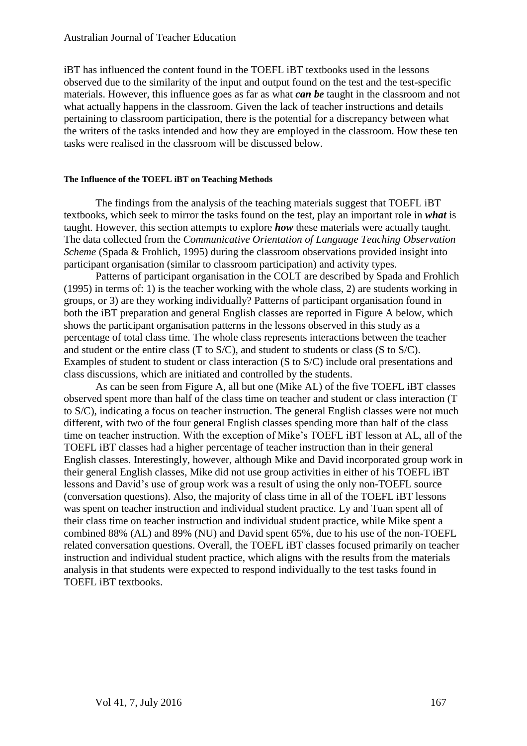iBT has influenced the content found in the TOEFL iBT textbooks used in the lessons observed due to the similarity of the input and output found on the test and the test-specific materials. However, this influence goes as far as what *can be* taught in the classroom and not what actually happens in the classroom. Given the lack of teacher instructions and details pertaining to classroom participation, there is the potential for a discrepancy between what the writers of the tasks intended and how they are employed in the classroom. How these ten tasks were realised in the classroom will be discussed below.

#### **The Influence of the TOEFL iBT on Teaching Methods**

The findings from the analysis of the teaching materials suggest that TOEFL iBT textbooks, which seek to mirror the tasks found on the test, play an important role in *what* is taught. However, this section attempts to explore *how* these materials were actually taught. The data collected from the *Communicative Orientation of Language Teaching Observation Scheme* (Spada & Frohlich, 1995) during the classroom observations provided insight into participant organisation (similar to classroom participation) and activity types.

Patterns of participant organisation in the COLT are described by Spada and Frohlich (1995) in terms of: 1) is the teacher working with the whole class, 2) are students working in groups, or 3) are they working individually? Patterns of participant organisation found in both the iBT preparation and general English classes are reported in Figure A below, which shows the participant organisation patterns in the lessons observed in this study as a percentage of total class time. The whole class represents interactions between the teacher and student or the entire class (T to S/C), and student to students or class (S to S/C). Examples of student to student or class interaction (S to S/C) include oral presentations and class discussions, which are initiated and controlled by the students.

As can be seen from Figure A, all but one (Mike AL) of the five TOEFL iBT classes observed spent more than half of the class time on teacher and student or class interaction (T to S/C), indicating a focus on teacher instruction. The general English classes were not much different, with two of the four general English classes spending more than half of the class time on teacher instruction. With the exception of Mike's TOEFL iBT lesson at AL, all of the TOEFL iBT classes had a higher percentage of teacher instruction than in their general English classes. Interestingly, however, although Mike and David incorporated group work in their general English classes, Mike did not use group activities in either of his TOEFL iBT lessons and David's use of group work was a result of using the only non-TOEFL source (conversation questions). Also, the majority of class time in all of the TOEFL iBT lessons was spent on teacher instruction and individual student practice. Ly and Tuan spent all of their class time on teacher instruction and individual student practice, while Mike spent a combined 88% (AL) and 89% (NU) and David spent 65%, due to his use of the non-TOEFL related conversation questions. Overall, the TOEFL iBT classes focused primarily on teacher instruction and individual student practice, which aligns with the results from the materials analysis in that students were expected to respond individually to the test tasks found in TOEFL iBT textbooks.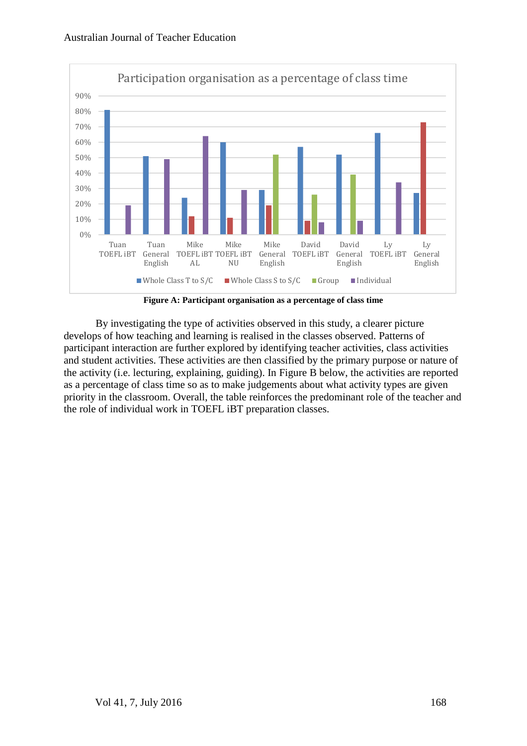

**Figure A: Participant organisation as a percentage of class time**

By investigating the type of activities observed in this study, a clearer picture develops of how teaching and learning is realised in the classes observed. Patterns of participant interaction are further explored by identifying teacher activities, class activities and student activities. These activities are then classified by the primary purpose or nature of the activity (i.e. lecturing, explaining, guiding). In Figure B below, the activities are reported as a percentage of class time so as to make judgements about what activity types are given priority in the classroom. Overall, the table reinforces the predominant role of the teacher and the role of individual work in TOEFL iBT preparation classes.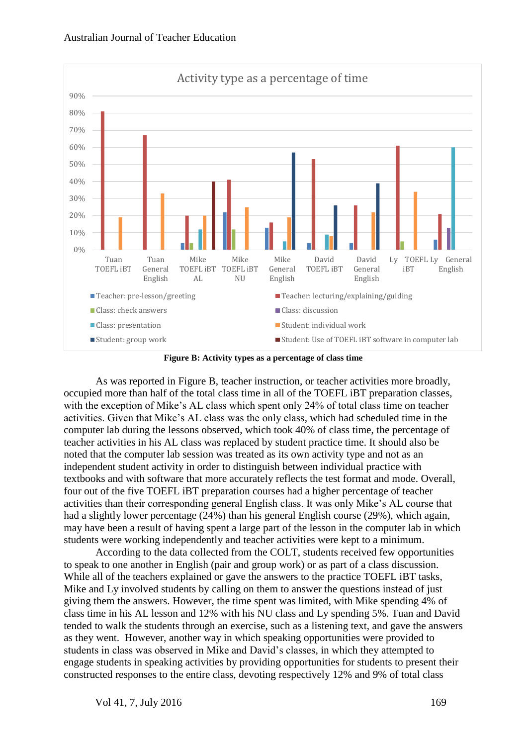

**Figure B: Activity types as a percentage of class time**

As was reported in Figure B, teacher instruction, or teacher activities more broadly, occupied more than half of the total class time in all of the TOEFL iBT preparation classes, with the exception of Mike's AL class which spent only 24% of total class time on teacher activities. Given that Mike's AL class was the only class, which had scheduled time in the computer lab during the lessons observed, which took 40% of class time, the percentage of teacher activities in his AL class was replaced by student practice time. It should also be noted that the computer lab session was treated as its own activity type and not as an independent student activity in order to distinguish between individual practice with textbooks and with software that more accurately reflects the test format and mode. Overall, four out of the five TOEFL iBT preparation courses had a higher percentage of teacher activities than their corresponding general English class. It was only Mike's AL course that had a slightly lower percentage (24%) than his general English course (29%), which again, may have been a result of having spent a large part of the lesson in the computer lab in which students were working independently and teacher activities were kept to a minimum.

According to the data collected from the COLT, students received few opportunities to speak to one another in English (pair and group work) or as part of a class discussion. While all of the teachers explained or gave the answers to the practice TOEFL iBT tasks, Mike and Ly involved students by calling on them to answer the questions instead of just giving them the answers. However, the time spent was limited, with Mike spending 4% of class time in his AL lesson and 12% with his NU class and Ly spending 5%. Tuan and David tended to walk the students through an exercise, such as a listening text, and gave the answers as they went. However, another way in which speaking opportunities were provided to students in class was observed in Mike and David's classes, in which they attempted to engage students in speaking activities by providing opportunities for students to present their constructed responses to the entire class, devoting respectively 12% and 9% of total class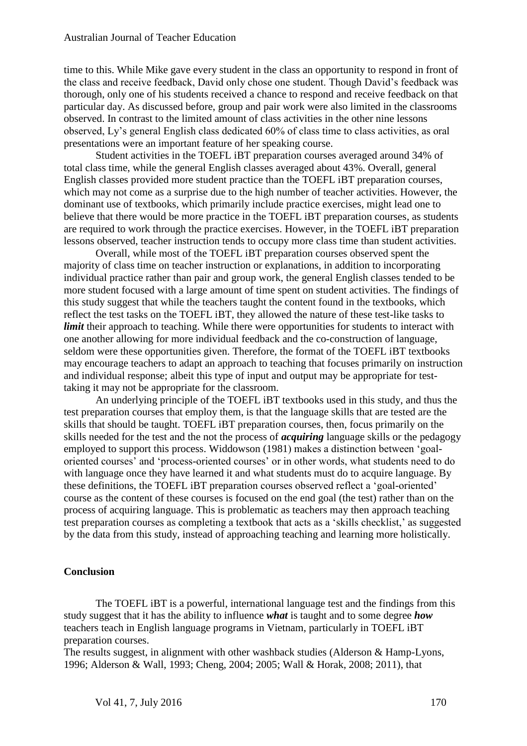time to this. While Mike gave every student in the class an opportunity to respond in front of the class and receive feedback, David only chose one student. Though David's feedback was thorough, only one of his students received a chance to respond and receive feedback on that particular day. As discussed before, group and pair work were also limited in the classrooms observed. In contrast to the limited amount of class activities in the other nine lessons observed, Ly's general English class dedicated 60% of class time to class activities, as oral presentations were an important feature of her speaking course.

Student activities in the TOEFL iBT preparation courses averaged around 34% of total class time, while the general English classes averaged about 43%. Overall, general English classes provided more student practice than the TOEFL iBT preparation courses, which may not come as a surprise due to the high number of teacher activities. However, the dominant use of textbooks, which primarily include practice exercises, might lead one to believe that there would be more practice in the TOEFL iBT preparation courses, as students are required to work through the practice exercises. However, in the TOEFL iBT preparation lessons observed, teacher instruction tends to occupy more class time than student activities.

Overall, while most of the TOEFL iBT preparation courses observed spent the majority of class time on teacher instruction or explanations, in addition to incorporating individual practice rather than pair and group work, the general English classes tended to be more student focused with a large amount of time spent on student activities. The findings of this study suggest that while the teachers taught the content found in the textbooks, which reflect the test tasks on the TOEFL iBT, they allowed the nature of these test-like tasks to *limit* their approach to teaching. While there were opportunities for students to interact with one another allowing for more individual feedback and the co-construction of language, seldom were these opportunities given. Therefore, the format of the TOEFL iBT textbooks may encourage teachers to adapt an approach to teaching that focuses primarily on instruction and individual response; albeit this type of input and output may be appropriate for testtaking it may not be appropriate for the classroom.

An underlying principle of the TOEFL iBT textbooks used in this study, and thus the test preparation courses that employ them, is that the language skills that are tested are the skills that should be taught. TOEFL iBT preparation courses, then, focus primarily on the skills needed for the test and the not the process of *acquiring* language skills or the pedagogy employed to support this process. Widdowson (1981) makes a distinction between 'goaloriented courses' and 'process-oriented courses' or in other words, what students need to do with language once they have learned it and what students must do to acquire language. By these definitions, the TOEFL iBT preparation courses observed reflect a 'goal-oriented' course as the content of these courses is focused on the end goal (the test) rather than on the process of acquiring language. This is problematic as teachers may then approach teaching test preparation courses as completing a textbook that acts as a 'skills checklist,' as suggested by the data from this study, instead of approaching teaching and learning more holistically.

## **Conclusion**

The TOEFL iBT is a powerful, international language test and the findings from this study suggest that it has the ability to influence *what* is taught and to some degree *how* teachers teach in English language programs in Vietnam, particularly in TOEFL iBT preparation courses.

The results suggest, in alignment with other washback studies (Alderson & Hamp-Lyons, 1996; Alderson & Wall, 1993; Cheng, 2004; 2005; Wall & Horak, 2008; 2011), that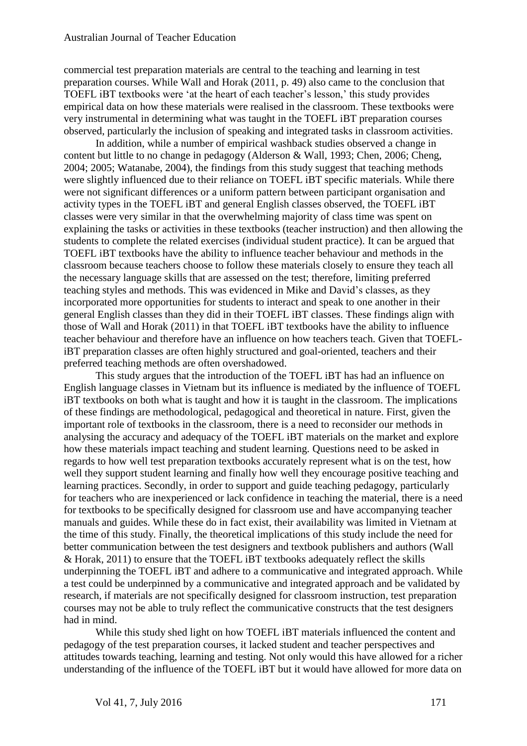commercial test preparation materials are central to the teaching and learning in test preparation courses. While Wall and Horak (2011, p. 49) also came to the conclusion that TOEFL iBT textbooks were 'at the heart of each teacher's lesson,' this study provides empirical data on how these materials were realised in the classroom. These textbooks were very instrumental in determining what was taught in the TOEFL iBT preparation courses observed, particularly the inclusion of speaking and integrated tasks in classroom activities.

In addition, while a number of empirical washback studies observed a change in content but little to no change in pedagogy (Alderson & Wall, 1993; Chen, 2006; Cheng, 2004; 2005; Watanabe, 2004), the findings from this study suggest that teaching methods were slightly influenced due to their reliance on TOEFL iBT specific materials. While there were not significant differences or a uniform pattern between participant organisation and activity types in the TOEFL iBT and general English classes observed, the TOEFL iBT classes were very similar in that the overwhelming majority of class time was spent on explaining the tasks or activities in these textbooks (teacher instruction) and then allowing the students to complete the related exercises (individual student practice). It can be argued that TOEFL iBT textbooks have the ability to influence teacher behaviour and methods in the classroom because teachers choose to follow these materials closely to ensure they teach all the necessary language skills that are assessed on the test; therefore, limiting preferred teaching styles and methods. This was evidenced in Mike and David's classes, as they incorporated more opportunities for students to interact and speak to one another in their general English classes than they did in their TOEFL iBT classes. These findings align with those of Wall and Horak (2011) in that TOEFL iBT textbooks have the ability to influence teacher behaviour and therefore have an influence on how teachers teach. Given that TOEFLiBT preparation classes are often highly structured and goal-oriented, teachers and their preferred teaching methods are often overshadowed.

This study argues that the introduction of the TOEFL iBT has had an influence on English language classes in Vietnam but its influence is mediated by the influence of TOEFL iBT textbooks on both what is taught and how it is taught in the classroom. The implications of these findings are methodological, pedagogical and theoretical in nature. First, given the important role of textbooks in the classroom, there is a need to reconsider our methods in analysing the accuracy and adequacy of the TOEFL iBT materials on the market and explore how these materials impact teaching and student learning. Questions need to be asked in regards to how well test preparation textbooks accurately represent what is on the test, how well they support student learning and finally how well they encourage positive teaching and learning practices. Secondly, in order to support and guide teaching pedagogy, particularly for teachers who are inexperienced or lack confidence in teaching the material, there is a need for textbooks to be specifically designed for classroom use and have accompanying teacher manuals and guides. While these do in fact exist, their availability was limited in Vietnam at the time of this study. Finally, the theoretical implications of this study include the need for better communication between the test designers and textbook publishers and authors (Wall & Horak, 2011) to ensure that the TOEFL iBT textbooks adequately reflect the skills underpinning the TOEFL iBT and adhere to a communicative and integrated approach. While a test could be underpinned by a communicative and integrated approach and be validated by research, if materials are not specifically designed for classroom instruction, test preparation courses may not be able to truly reflect the communicative constructs that the test designers had in mind.

While this study shed light on how TOEFL iBT materials influenced the content and pedagogy of the test preparation courses, it lacked student and teacher perspectives and attitudes towards teaching, learning and testing. Not only would this have allowed for a richer understanding of the influence of the TOEFL iBT but it would have allowed for more data on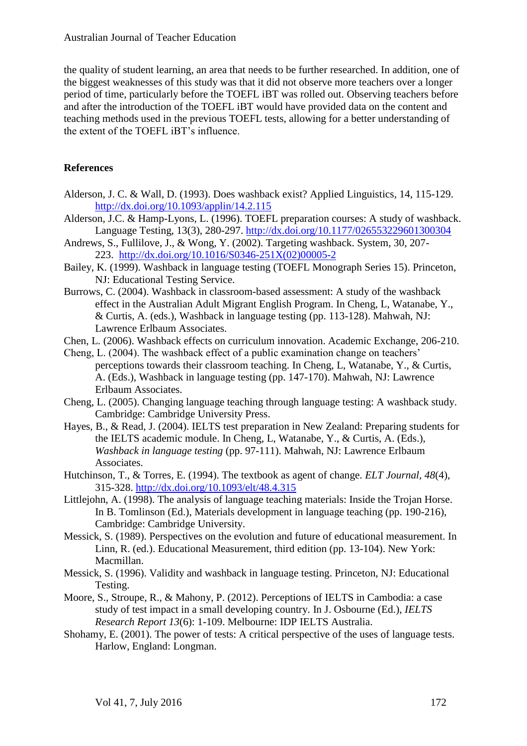the quality of student learning, an area that needs to be further researched. In addition, one of the biggest weaknesses of this study was that it did not observe more teachers over a longer period of time, particularly before the TOEFL iBT was rolled out. Observing teachers before and after the introduction of the TOEFL iBT would have provided data on the content and teaching methods used in the previous TOEFL tests, allowing for a better understanding of the extent of the TOEFL iBT's influence.

## **References**

- Alderson, J. C. & Wall, D. (1993). Does washback exist? Applied Linguistics, 14, 115-129. <http://dx.doi.org/10.1093/applin/14.2.115>
- Alderson, J.C. & Hamp-Lyons, L. (1996). TOEFL preparation courses: A study of washback. Language Testing, 13(3), 280-297. <http://dx.doi.org/10.1177/026553229601300304>
- Andrews, S., Fullilove, J., & Wong, Y. (2002). Targeting washback. System, 30, 207- 223. [http://dx.doi.org/10.1016/S0346-251X\(02\)00005-2](http://dx.doi.org/10.1016/S0346-251X(02)00005-2)
- Bailey, K. (1999). Washback in language testing (TOEFL Monograph Series 15). Princeton, NJ: Educational Testing Service.
- Burrows, C. (2004). Washback in classroom-based assessment: A study of the washback effect in the Australian Adult Migrant English Program. In Cheng, L, Watanabe, Y., & Curtis, A. (eds.), Washback in language testing (pp. 113-128). Mahwah, NJ: Lawrence Erlbaum Associates.
- Chen, L. (2006). Washback effects on curriculum innovation. Academic Exchange, 206-210.
- Cheng, L. (2004). The washback effect of a public examination change on teachers' perceptions towards their classroom teaching. In Cheng, L, Watanabe, Y., & Curtis, A. (Eds.), Washback in language testing (pp. 147-170). Mahwah, NJ: Lawrence Erlbaum Associates.
- Cheng, L. (2005). Changing language teaching through language testing: A washback study. Cambridge: Cambridge University Press.
- Hayes, B., & Read, J. (2004). IELTS test preparation in New Zealand: Preparing students for the IELTS academic module. In Cheng, L, Watanabe, Y., & Curtis, A. (Eds.), *Washback in language testing* (pp. 97-111). Mahwah, NJ: Lawrence Erlbaum Associates.
- Hutchinson, T., & Torres, E. (1994). The textbook as agent of change. *ELT Journal, 48*(4), 315-328. <http://dx.doi.org/10.1093/elt/48.4.315>
- Littlejohn, A. (1998). The analysis of language teaching materials: Inside the Trojan Horse. In B. Tomlinson (Ed.), Materials development in language teaching (pp. 190-216), Cambridge: Cambridge University.
- Messick, S. (1989). Perspectives on the evolution and future of educational measurement. In Linn, R. (ed.). Educational Measurement, third edition (pp. 13-104). New York: Macmillan.
- Messick, S. (1996). Validity and washback in language testing. Princeton, NJ: Educational Testing.
- Moore, S., Stroupe, R., & Mahony, P. (2012). Perceptions of IELTS in Cambodia: a case study of test impact in a small developing country. In J. Osbourne (Ed.), *IELTS Research Report 13*(6): 1-109. Melbourne: IDP IELTS Australia.
- Shohamy, E. (2001). The power of tests: A critical perspective of the uses of language tests. Harlow, England: Longman.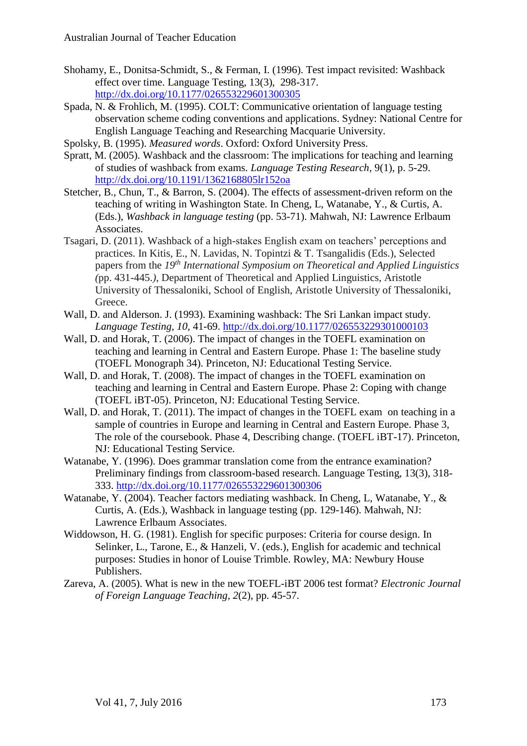- Shohamy, E., Donitsa-Schmidt, S., & Ferman, I. (1996). Test impact revisited: Washback effect over time. Language Testing, 13(3), 298-317. <http://dx.doi.org/10.1177/026553229601300305>
- Spada, N. & Frohlich, M. (1995). COLT: Communicative orientation of language testing observation scheme coding conventions and applications. Sydney: National Centre for English Language Teaching and Researching Macquarie University.
- Spolsky, B. (1995). *Measured words*. Oxford: Oxford University Press.
- Spratt, M. (2005). Washback and the classroom: The implications for teaching and learning of studies of washback from exams. *Language Testing Research*, 9(1), p. 5-29. <http://dx.doi.org/10.1191/1362168805lr152oa>
- Stetcher, B., Chun, T., & Barron, S. (2004). The effects of assessment-driven reform on the teaching of writing in Washington State. In Cheng, L, Watanabe, Y., & Curtis, A. (Eds.), *Washback in language testing* (pp. 53-71). Mahwah, NJ: Lawrence Erlbaum Associates.
- Tsagari, D. (2011). Washback of a high-stakes English exam on teachers' perceptions and practices. In Kitis, E., N. Lavidas, N. Topintzi & T. Tsangalidis (Eds.), Selected papers from the *19th International Symposium on Theoretical and Applied Linguistics (*pp. 431-445.*)*, Department of Theoretical and Applied Linguistics, Aristotle University of Thessaloniki, School of English, Aristotle University of Thessaloniki, Greece.
- Wall, D. and Alderson. J. (1993). Examining washback: The Sri Lankan impact study. *Language Testing, 10*, 41-69. <http://dx.doi.org/10.1177/026553229301000103>
- Wall, D. and Horak, T. (2006). The impact of changes in the TOEFL examination on teaching and learning in Central and Eastern Europe. Phase 1: The baseline study (TOEFL Monograph 34). Princeton, NJ: Educational Testing Service.
- Wall, D. and Horak, T. (2008). The impact of changes in the TOEFL examination on teaching and learning in Central and Eastern Europe. Phase 2: Coping with change (TOEFL iBT-05). Princeton, NJ: Educational Testing Service.
- Wall, D. and Horak, T. (2011). The impact of changes in the TOEFL exam on teaching in a sample of countries in Europe and learning in Central and Eastern Europe. Phase 3, The role of the coursebook. Phase 4, Describing change. (TOEFL iBT-17). Princeton, NJ: Educational Testing Service.
- Watanabe, Y. (1996). Does grammar translation come from the entrance examination? Preliminary findings from classroom-based research. Language Testing, 13(3), 318- 333. <http://dx.doi.org/10.1177/026553229601300306>
- Watanabe, Y. (2004). Teacher factors mediating washback. In Cheng, L, Watanabe, Y., & Curtis, A. (Eds.), Washback in language testing (pp. 129-146). Mahwah, NJ: Lawrence Erlbaum Associates.
- Widdowson, H. G. (1981). English for specific purposes: Criteria for course design. In Selinker, L., Tarone, E., & Hanzeli, V. (eds.), English for academic and technical purposes: Studies in honor of Louise Trimble. Rowley, MA: Newbury House Publishers.
- Zareva, A. (2005). What is new in the new TOEFL-iBT 2006 test format? *Electronic Journal of Foreign Language Teaching, 2*(2), pp. 45-57.